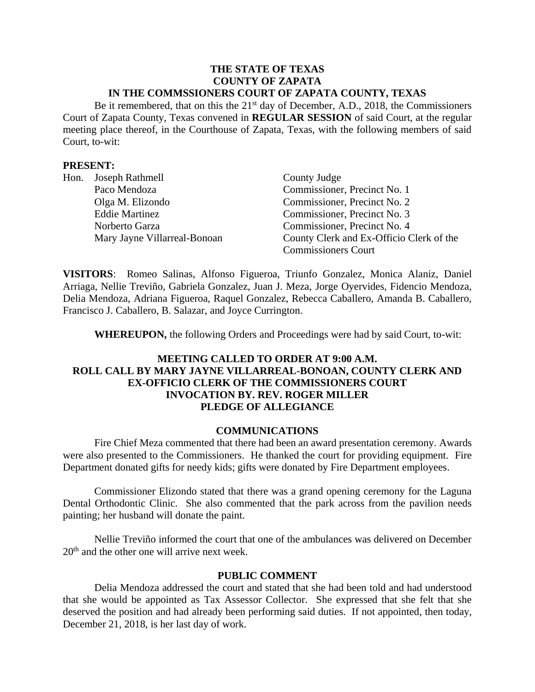#### **THE STATE OF TEXAS COUNTY OF ZAPATA IN THE COMMSSIONERS COURT OF ZAPATA COUNTY, TEXAS**

Be it remembered, that on this the 21<sup>st</sup> day of December, A.D., 2018, the Commissioners Court of Zapata County, Texas convened in **REGULAR SESSION** of said Court, at the regular meeting place thereof, in the Courthouse of Zapata, Texas, with the following members of said Court, to-wit:

### **PRESENT:**

| Hon. | Joseph Rathmell              | County Judge                             |
|------|------------------------------|------------------------------------------|
|      | Paco Mendoza                 | Commissioner, Precinct No. 1             |
|      | Olga M. Elizondo             | Commissioner, Precinct No. 2             |
|      | <b>Eddie Martinez</b>        | Commissioner, Precinct No. 3             |
|      | Norberto Garza               | Commissioner, Precinct No. 4             |
|      | Mary Jayne Villarreal-Bonoan | County Clerk and Ex-Officio Clerk of the |
|      |                              | <b>Commissioners Court</b>               |

**VISITORS**: Romeo Salinas, Alfonso Figueroa, Triunfo Gonzalez, Monica Alaniz, Daniel Arriaga, Nellie Treviño, Gabriela Gonzalez, Juan J. Meza, Jorge Oyervides, Fidencio Mendoza, Delia Mendoza, Adriana Figueroa, Raquel Gonzalez, Rebecca Caballero, Amanda B. Caballero, Francisco J. Caballero, B. Salazar, and Joyce Currington.

**WHEREUPON,** the following Orders and Proceedings were had by said Court, to-wit:

# **MEETING CALLED TO ORDER AT 9:00 A.M. ROLL CALL BY MARY JAYNE VILLARREAL-BONOAN, COUNTY CLERK AND EX-OFFICIO CLERK OF THE COMMISSIONERS COURT INVOCATION BY. REV. ROGER MILLER PLEDGE OF ALLEGIANCE**

#### **COMMUNICATIONS**

Fire Chief Meza commented that there had been an award presentation ceremony. Awards were also presented to the Commissioners. He thanked the court for providing equipment. Fire Department donated gifts for needy kids; gifts were donated by Fire Department employees.

Commissioner Elizondo stated that there was a grand opening ceremony for the Laguna Dental Orthodontic Clinic. She also commented that the park across from the pavilion needs painting; her husband will donate the paint.

Nellie Treviño informed the court that one of the ambulances was delivered on December  $20<sup>th</sup>$  and the other one will arrive next week.

#### **PUBLIC COMMENT**

Delia Mendoza addressed the court and stated that she had been told and had understood that she would be appointed as Tax Assessor Collector. She expressed that she felt that she deserved the position and had already been performing said duties. If not appointed, then today, December 21, 2018, is her last day of work.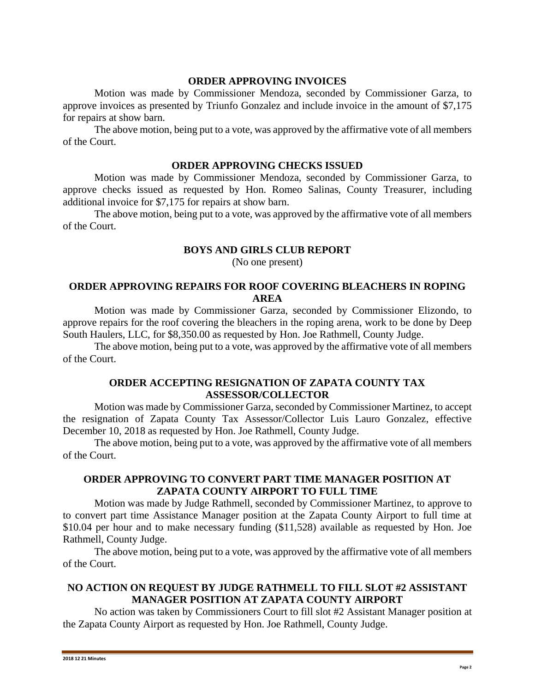#### **ORDER APPROVING INVOICES**

Motion was made by Commissioner Mendoza, seconded by Commissioner Garza, to approve invoices as presented by Triunfo Gonzalez and include invoice in the amount of \$7,175 for repairs at show barn.

The above motion, being put to a vote, was approved by the affirmative vote of all members of the Court.

#### **ORDER APPROVING CHECKS ISSUED**

Motion was made by Commissioner Mendoza, seconded by Commissioner Garza, to approve checks issued as requested by Hon. Romeo Salinas, County Treasurer, including additional invoice for \$7,175 for repairs at show barn.

The above motion, being put to a vote, was approved by the affirmative vote of all members of the Court.

## **BOYS AND GIRLS CLUB REPORT**

(No one present)

# **ORDER APPROVING REPAIRS FOR ROOF COVERING BLEACHERS IN ROPING AREA**

Motion was made by Commissioner Garza, seconded by Commissioner Elizondo, to approve repairs for the roof covering the bleachers in the roping arena, work to be done by Deep South Haulers, LLC, for \$8,350.00 as requested by Hon. Joe Rathmell, County Judge.

The above motion, being put to a vote, was approved by the affirmative vote of all members of the Court.

## **ORDER ACCEPTING RESIGNATION OF ZAPATA COUNTY TAX ASSESSOR/COLLECTOR**

Motion was made by Commissioner Garza, seconded by Commissioner Martinez, to accept the resignation of Zapata County Tax Assessor/Collector Luis Lauro Gonzalez, effective December 10, 2018 as requested by Hon. Joe Rathmell, County Judge.

The above motion, being put to a vote, was approved by the affirmative vote of all members of the Court.

### **ORDER APPROVING TO CONVERT PART TIME MANAGER POSITION AT ZAPATA COUNTY AIRPORT TO FULL TIME**

Motion was made by Judge Rathmell, seconded by Commissioner Martinez, to approve to to convert part time Assistance Manager position at the Zapata County Airport to full time at \$10.04 per hour and to make necessary funding (\$11,528) available as requested by Hon. Joe Rathmell, County Judge.

The above motion, being put to a vote, was approved by the affirmative vote of all members of the Court.

# **NO ACTION ON REQUEST BY JUDGE RATHMELL TO FILL SLOT #2 ASSISTANT MANAGER POSITION AT ZAPATA COUNTY AIRPORT**

No action was taken by Commissioners Court to fill slot #2 Assistant Manager position at the Zapata County Airport as requested by Hon. Joe Rathmell, County Judge.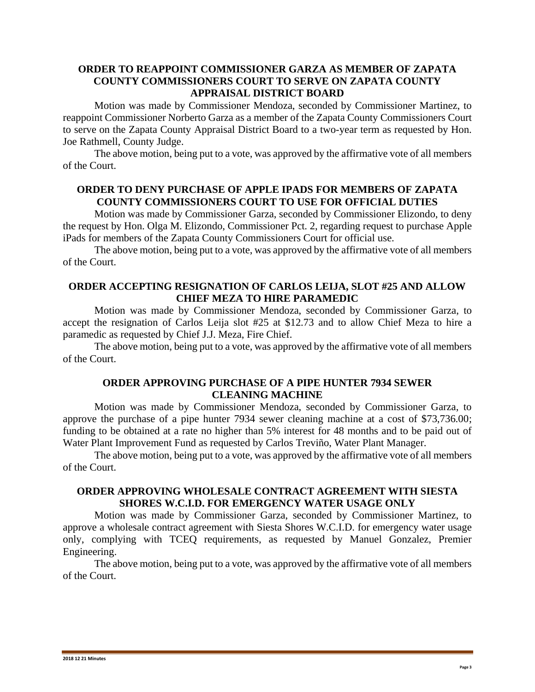## **ORDER TO REAPPOINT COMMISSIONER GARZA AS MEMBER OF ZAPATA COUNTY COMMISSIONERS COURT TO SERVE ON ZAPATA COUNTY APPRAISAL DISTRICT BOARD**

Motion was made by Commissioner Mendoza, seconded by Commissioner Martinez, to reappoint Commissioner Norberto Garza as a member of the Zapata County Commissioners Court to serve on the Zapata County Appraisal District Board to a two-year term as requested by Hon. Joe Rathmell, County Judge.

The above motion, being put to a vote, was approved by the affirmative vote of all members of the Court.

## **ORDER TO DENY PURCHASE OF APPLE IPADS FOR MEMBERS OF ZAPATA COUNTY COMMISSIONERS COURT TO USE FOR OFFICIAL DUTIES**

Motion was made by Commissioner Garza, seconded by Commissioner Elizondo, to deny the request by Hon. Olga M. Elizondo, Commissioner Pct. 2, regarding request to purchase Apple iPads for members of the Zapata County Commissioners Court for official use.

The above motion, being put to a vote, was approved by the affirmative vote of all members of the Court.

# **ORDER ACCEPTING RESIGNATION OF CARLOS LEIJA, SLOT #25 AND ALLOW CHIEF MEZA TO HIRE PARAMEDIC**

Motion was made by Commissioner Mendoza, seconded by Commissioner Garza, to accept the resignation of Carlos Leija slot #25 at \$12.73 and to allow Chief Meza to hire a paramedic as requested by Chief J.J. Meza, Fire Chief.

The above motion, being put to a vote, was approved by the affirmative vote of all members of the Court.

## **ORDER APPROVING PURCHASE OF A PIPE HUNTER 7934 SEWER CLEANING MACHINE**

Motion was made by Commissioner Mendoza, seconded by Commissioner Garza, to approve the purchase of a pipe hunter 7934 sewer cleaning machine at a cost of \$73,736.00; funding to be obtained at a rate no higher than 5% interest for 48 months and to be paid out of Water Plant Improvement Fund as requested by Carlos Treviño, Water Plant Manager.

The above motion, being put to a vote, was approved by the affirmative vote of all members of the Court.

### **ORDER APPROVING WHOLESALE CONTRACT AGREEMENT WITH SIESTA SHORES W.C.I.D. FOR EMERGENCY WATER USAGE ONLY**

Motion was made by Commissioner Garza, seconded by Commissioner Martinez, to approve a wholesale contract agreement with Siesta Shores W.C.I.D. for emergency water usage only, complying with TCEQ requirements, as requested by Manuel Gonzalez, Premier Engineering.

The above motion, being put to a vote, was approved by the affirmative vote of all members of the Court.